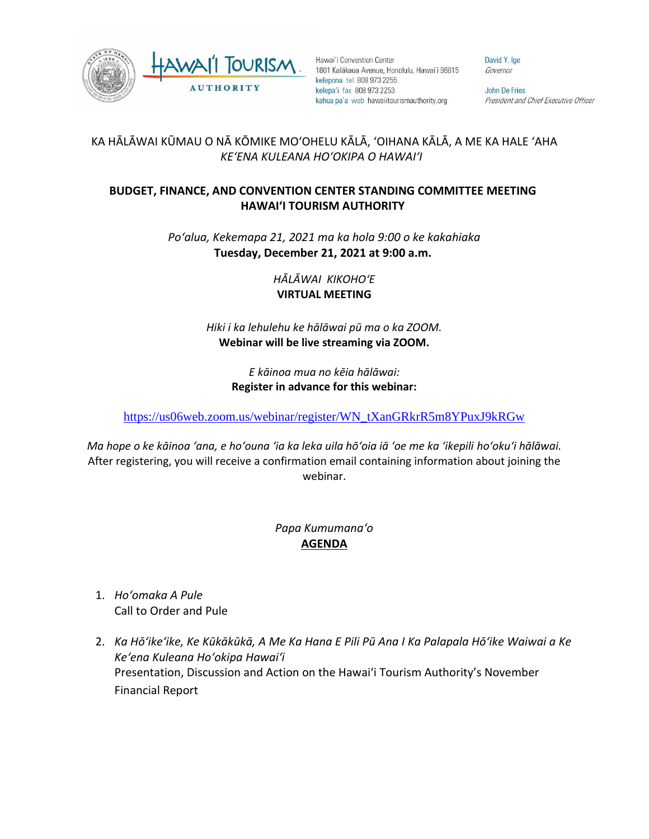



Hawai'i Convention Center 1801 Kalākaua Avenue, Honolulu, Hawai'i 96815 kelepona tel 808 973 2255 kelepa'i fax 808 973 2253 kahua pa'a web hawaiitourismauthority.org

David Y. Ige Governor

John De Fries President and Chief Executive Officer

## KA HĀLĀWAI KŪMAU O NĀ KŌMIKE MOʻOHELU KĀLĀ, ʻOIHANA KĀLĀ, A ME KA HALE ʻAHA *KEʻENA KULEANA HOʻOKIPA O HAWAIʻI*

## **BUDGET, FINANCE, AND CONVENTION CENTER STANDING COMMITTEE MEETING HAWAI'I TOURISM AUTHORITY**

*Poʻalua, Kekemapa 21, 2021 ma ka hola 9:00 o ke kakahiaka* **Tuesday, December 21, 2021 at 9:00 a.m.**

> *HĀLĀWAI KIKOHOʻE* **VIRTUAL MEETING**

*Hiki i ka lehulehu ke hālāwai pū ma o ka ZOOM.*  **Webinar will be live streaming via ZOOM.**

> *E kāinoa mua no kēia hālāwai:* **Register in advance for this webinar:**

[https://us06web.zoom.us/webinar/register/WN\\_tXanGRkrR5m8YPuxJ9kRGw](https://us06web.zoom.us/webinar/register/WN_tXanGRkrR5m8YPuxJ9kRGw)

*Ma hope o ke kāinoa ʻana, e hoʻouna ʻia ka leka uila hōʻoia iā ʻoe me ka ʻikepili hoʻokuʻi hālāwai.* After registering, you will receive a confirmation email containing information about joining the webinar.

## *Papa Kumumanaʻo* **AGENDA**

- 1. *Hoʻomaka A Pule* Call to Order and Pule
- 2. *Ka Hōʻikeʻike, Ke Kūkākūkā, A Me Ka Hana E Pili Pū Ana I Ka Palapala Hōʻike Waiwai a Ke Keʻena Kuleana Hoʻokipa Hawaiʻi* Presentation, Discussion and Action on the Hawai'i Tourism Authority's November Financial Report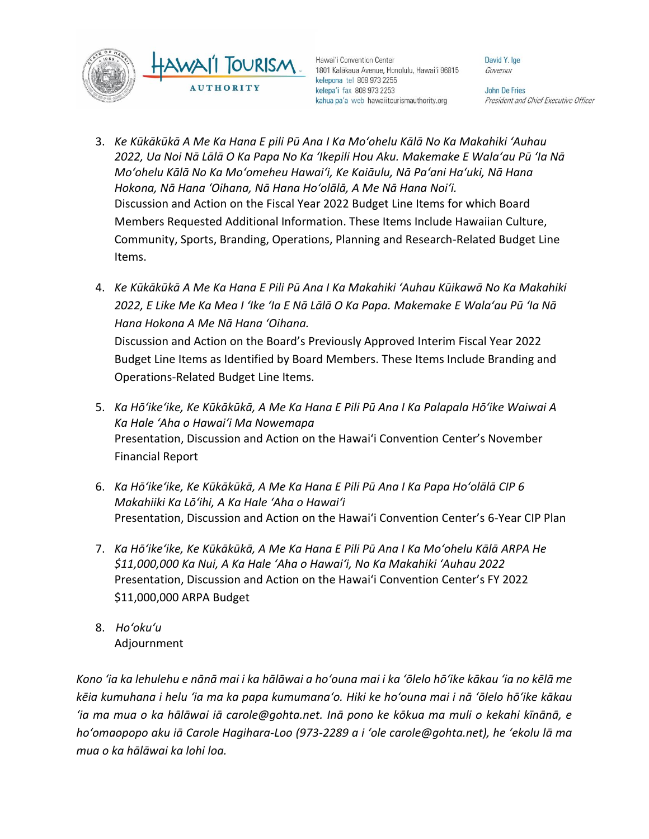



Hawai'i Convention Center 1801 Kalākaua Avenue, Honolulu, Hawai'i 96815 kelepona tel 808 973 2255 kelepa'i fax 808 973 2253 kahua pa'a web hawaiitourismauthority.org

David Y. Ige Governor

John De Fries President and Chief Executive Officer

- 3. *Ke Kūkākūkā A Me Ka Hana E pili Pū Ana I Ka Moʻohelu Kālā No Ka Makahiki ʻAuhau 2022, Ua Noi Nā Lālā O Ka Papa No Ka ʻIkepili Hou Aku. Makemake E Walaʻau Pū ʻIa Nā Moʻohelu Kālā No Ka Moʻomeheu Hawaiʻi, Ke Kaiāulu, Nā Paʻani Haʻuki, Nā Hana Hokona, Nā Hana ʻOihana, Nā Hana Hoʻolālā, A Me Nā Hana Noiʻi.* Discussion and Action on the Fiscal Year 2022 Budget Line Items for which Board Members Requested Additional Information. These Items Include Hawaiian Culture, Community, Sports, Branding, Operations, Planning and Research-Related Budget Line Items.
- 4. *Ke Kūkākūkā A Me Ka Hana E Pili Pū Ana I Ka Makahiki ʻAuhau Kūikawā No Ka Makahiki 2022, E Like Me Ka Mea I ʻIke ʻIa E Nā Lālā O Ka Papa. Makemake E Walaʻau Pū ʻIa Nā Hana Hokona A Me Nā Hana ʻOihana.*

Discussion and Action on the Board's Previously Approved Interim Fiscal Year 2022 Budget Line Items as Identified by Board Members. These Items Include Branding and Operations-Related Budget Line Items.

- 5. *Ka Hōʻikeʻike, Ke Kūkākūkā, A Me Ka Hana E Pili Pū Ana I Ka Palapala Hōʻike Waiwai A Ka Hale ʻAha o Hawaiʻi Ma Nowemapa* Presentation, Discussion and Action on the Hawai'i Convention Center's November Financial Report
- 6. *Ka Hōʻikeʻike, Ke Kūkākūkā, A Me Ka Hana E Pili Pū Ana I Ka Papa Hoʻolālā CIP 6 Makahiiki Ka Lōʻihi, A Ka Hale ʻAha o Hawaiʻi* Presentation, Discussion and Action on the Hawai'i Convention Center's 6-Year CIP Plan
- 7. *Ka Hōʻikeʻike, Ke Kūkākūkā, A Me Ka Hana E Pili Pū Ana I Ka Moʻohelu Kālā ARPA He \$11,000,000 Ka Nui, A Ka Hale ʻAha o Hawaiʻi, No Ka Makahiki ʻAuhau 2022* Presentation, Discussion and Action on the Hawai'i Convention Center's FY 2022 \$11,000,000 ARPA Budget
- 8. *Hoʻokuʻu* Adjournment

*Kono ʻia ka lehulehu e nānā mai i ka hālāwai a hoʻouna mai i ka ʻōlelo hōʻike kākau ʻia no kēlā me kēia kumuhana i helu ʻia ma ka papa kumumanaʻo. Hiki ke hoʻouna mai i nā ʻōlelo hōʻike kākau ʻia ma mua o ka hālāwai iā carole@gohta.net. Inā pono ke kōkua ma muli o kekahi kīnānā, e hoʻomaopopo aku iā Carole Hagihara-Loo (973-2289 a i ʻole carole@gohta.net), he ʻekolu lā ma mua o ka hālāwai ka lohi loa.*